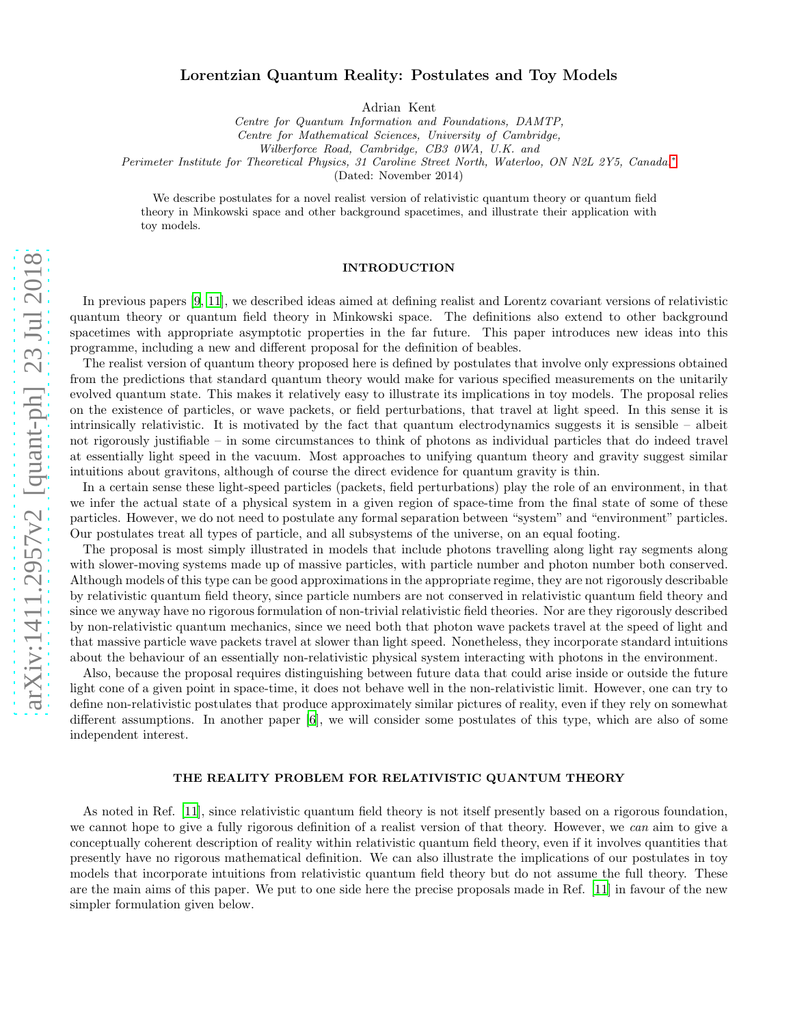# Lorentzian Quantum Reality: Postulates and Toy Models

Adrian Kent

Centre for Quantum Information and Foundations, DAMTP, Centre for Mathematical Sciences, University of Cambridge, Wilberforce Road, Cambridge, CB3 0WA, U.K. and Perimeter Institute for Theoretical Physics, 31 Caroline Street North, Waterloo, ON N2L 2Y5, Canada.<sup>[∗](#page-6-0)</sup>

(Dated: November 2014)

We describe postulates for a novel realist version of relativistic quantum theory or quantum field theory in Minkowski space and other background spacetimes, and illustrate their application with toy models.

# INTRODUCTION

In previous papers [\[9,](#page-6-1) [11\]](#page-6-2), we described ideas aimed at defining realist and Lorentz covariant versions of relativistic quantum theory or quantum field theory in Minkowski space. The definitions also extend to other background spacetimes with appropriate asymptotic properties in the far future. This paper introduces new ideas into this programme, including a new and different proposal for the definition of beables.

The realist version of quantum theory proposed here is defined by postulates that involve only expressions obtained from the predictions that standard quantum theory would make for various specified measurements on the unitarily evolved quantum state. This makes it relatively easy to illustrate its implications in toy models. The proposal relies on the existence of particles, or wave packets, or field perturbations, that travel at light speed. In this sense it is intrinsically relativistic. It is motivated by the fact that quantum electrodynamics suggests it is sensible – albeit not rigorously justifiable – in some circumstances to think of photons as individual particles that do indeed travel at essentially light speed in the vacuum. Most approaches to unifying quantum theory and gravity suggest similar intuitions about gravitons, although of course the direct evidence for quantum gravity is thin.

In a certain sense these light-speed particles (packets, field perturbations) play the role of an environment, in that we infer the actual state of a physical system in a given region of space-time from the final state of some of these particles. However, we do not need to postulate any formal separation between "system" and "environment" particles. Our postulates treat all types of particle, and all subsystems of the universe, on an equal footing.

The proposal is most simply illustrated in models that include photons travelling along light ray segments along with slower-moving systems made up of massive particles, with particle number and photon number both conserved. Although models of this type can be good approximations in the appropriate regime, they are not rigorously describable by relativistic quantum field theory, since particle numbers are not conserved in relativistic quantum field theory and since we anyway have no rigorous formulation of non-trivial relativistic field theories. Nor are they rigorously described by non-relativistic quantum mechanics, since we need both that photon wave packets travel at the speed of light and that massive particle wave packets travel at slower than light speed. Nonetheless, they incorporate standard intuitions about the behaviour of an essentially non-relativistic physical system interacting with photons in the environment.

Also, because the proposal requires distinguishing between future data that could arise inside or outside the future light cone of a given point in space-time, it does not behave well in the non-relativistic limit. However, one can try to define non-relativistic postulates that produce approximately similar pictures of reality, even if they rely on somewhat different assumptions. In another paper [\[6\]](#page-6-3), we will consider some postulates of this type, which are also of some independent interest.

# THE REALITY PROBLEM FOR RELATIVISTIC QUANTUM THEORY

As noted in Ref. [\[11\]](#page-6-2), since relativistic quantum field theory is not itself presently based on a rigorous foundation, we cannot hope to give a fully rigorous definition of a realist version of that theory. However, we can aim to give a conceptually coherent description of reality within relativistic quantum field theory, even if it involves quantities that presently have no rigorous mathematical definition. We can also illustrate the implications of our postulates in toy models that incorporate intuitions from relativistic quantum field theory but do not assume the full theory. These are the main aims of this paper. We put to one side here the precise proposals made in Ref. [\[11](#page-6-2)] in favour of the new simpler formulation given below.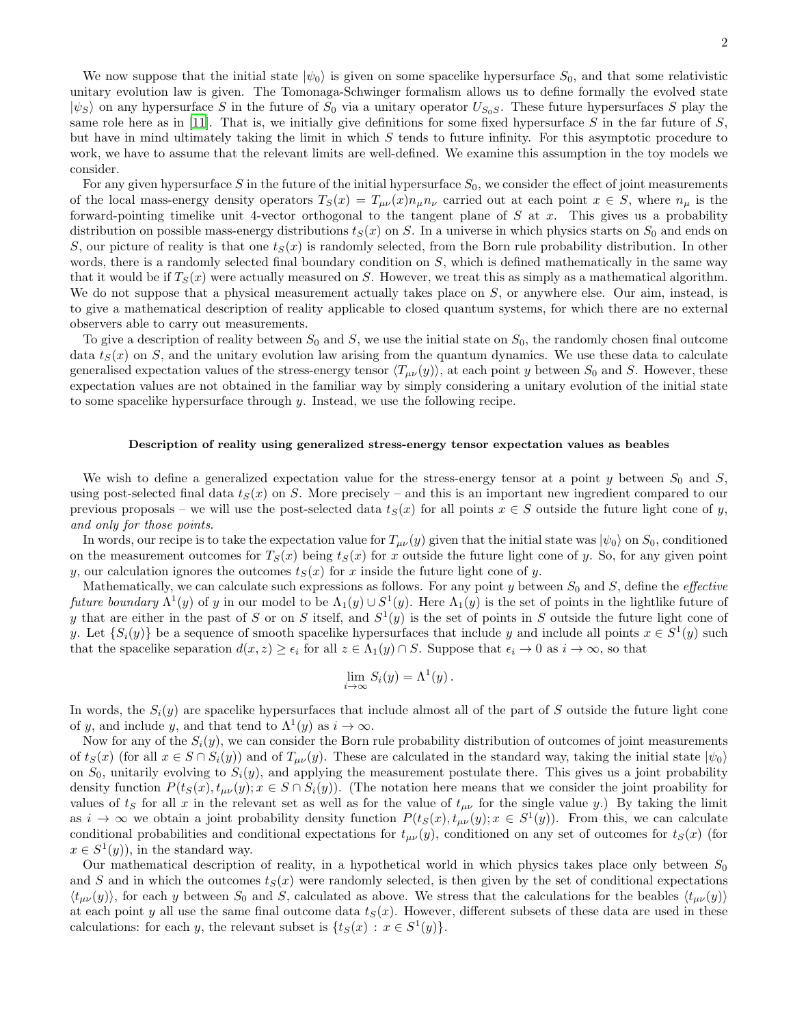We now suppose that the initial state  $|\psi_0\rangle$  is given on some spacelike hypersurface  $S_0$ , and that some relativistic unitary evolution law is given. The Tomonaga-Schwinger formalism allows us to define formally the evolved state  $|\psi_S\rangle$  on any hypersurface S in the future of  $S_0$  via a unitary operator  $U_{S_0S}$ . These future hypersurfaces S play the same role here as in [\[11\]](#page-6-2). That is, we initially give definitions for some fixed hypersurface S in the far future of  $S$ , but have in mind ultimately taking the limit in which S tends to future infinity. For this asymptotic procedure to work, we have to assume that the relevant limits are well-defined. We examine this assumption in the toy models we consider.

For any given hypersurface S in the future of the initial hypersurface  $S_0$ , we consider the effect of joint measurements of the local mass-energy density operators  $T_S(x) = T_{\mu\nu}(x)n_\mu n_\nu$  carried out at each point  $x \in S$ , where  $n_\mu$  is the forward-pointing timelike unit 4-vector orthogonal to the tangent plane of  $S$  at  $x$ . This gives us a probability distribution on possible mass-energy distributions  $t_S(x)$  on S. In a universe in which physics starts on  $S_0$  and ends on S, our picture of reality is that one  $t_S(x)$  is randomly selected, from the Born rule probability distribution. In other words, there is a randomly selected final boundary condition on  $S$ , which is defined mathematically in the same way that it would be if  $T_S(x)$  were actually measured on S. However, we treat this as simply as a mathematical algorithm. We do not suppose that a physical measurement actually takes place on  $S$ , or anywhere else. Our aim, instead, is to give a mathematical description of reality applicable to closed quantum systems, for which there are no external observers able to carry out measurements.

To give a description of reality between  $S_0$  and  $S$ , we use the initial state on  $S_0$ , the randomly chosen final outcome data  $t_S(x)$  on S, and the unitary evolution law arising from the quantum dynamics. We use these data to calculate generalised expectation values of the stress-energy tensor  $\langle T_{\mu\nu}(y)\rangle$ , at each point y between  $S_0$  and S. However, these expectation values are not obtained in the familiar way by simply considering a unitary evolution of the initial state to some spacelike hypersurface through y. Instead, we use the following recipe.

#### Description of reality using generalized stress-energy tensor expectation values as beables

We wish to define a generalized expectation value for the stress-energy tensor at a point y between  $S_0$  and S, using post-selected final data  $t_S(x)$  on S. More precisely – and this is an important new ingredient compared to our previous proposals – we will use the post-selected data  $t_S(x)$  for all points  $x \in S$  outside the future light cone of y, and only for those points.

In words, our recipe is to take the expectation value for  $T_{\mu\nu}(y)$  given that the initial state was  $|\psi_0\rangle$  on  $S_0$ , conditioned on the measurement outcomes for  $T_S(x)$  being  $t_S(x)$  for x outside the future light cone of y. So, for any given point y, our calculation ignores the outcomes  $t_S(x)$  for x inside the future light cone of y.

Mathematically, we can calculate such expressions as follows. For any point y between  $S_0$  and S, define the *effective* future boundary  $\Lambda^1(y)$  of y in our model to be  $\Lambda_1(y) \cup S^1(y)$ . Here  $\Lambda_1(y)$  is the set of points in the lightlike future of y that are either in the past of S or on S itself, and  $S^1(y)$  is the set of points in S outside the future light cone of y. Let  $\{S_i(y)\}\$  be a sequence of smooth spacelike hypersurfaces that include y and include all points  $x \in S^1(y)$  such that the spacelike separation  $d(x, z) \ge \epsilon_i$  for all  $z \in \Lambda_1(y) \cap S$ . Suppose that  $\epsilon_i \to 0$  as  $i \to \infty$ , so that

$$
\lim_{i \to \infty} S_i(y) = \Lambda^1(y) .
$$

In words, the  $S_i(y)$  are spacelike hypersurfaces that include almost all of the part of S outside the future light cone of y, and include y, and that tend to  $\Lambda^1(y)$  as  $i \to \infty$ .

Now for any of the  $S_i(y)$ , we can consider the Born rule probability distribution of outcomes of joint measurements of  $t_S(x)$  (for all  $x \in S \cap S_i(y)$ ) and of  $T_{\mu\nu}(y)$ . These are calculated in the standard way, taking the initial state  $|\psi_0\rangle$ on  $S_0$ , unitarily evolving to  $S_i(y)$ , and applying the measurement postulate there. This gives us a joint probability density function  $P(t_S(x), t_{\mu\nu}(y); x \in S \cap S_i(y))$ . (The notation here means that we consider the joint proability for values of  $t_S$  for all x in the relevant set as well as for the value of  $t_{\mu\nu}$  for the single value y.) By taking the limit as  $i \to \infty$  we obtain a joint probability density function  $P(t_S(x), t_{\mu\nu}(y); x \in S^1(y))$ . From this, we can calculate conditional probabilities and conditional expectations for  $t_{\mu\nu}(y)$ , conditioned on any set of outcomes for  $t_S(x)$  (for  $x \in S^1(y)$ , in the standard way.

Our mathematical description of reality, in a hypothetical world in which physics takes place only between  $S_0$ and S and in which the outcomes  $t_S(x)$  were randomly selected, is then given by the set of conditional expectations  $\langle t_{\mu\nu}(y)\rangle$ , for each y between  $S_0$  and S, calculated as above. We stress that the calculations for the beables  $\langle t_{\mu\nu}(y)\rangle$ at each point y all use the same final outcome data  $t_S(x)$ . However, different subsets of these data are used in these calculations: for each y, the relevant subset is  $\{t_S(x) : x \in S^1(y)\}.$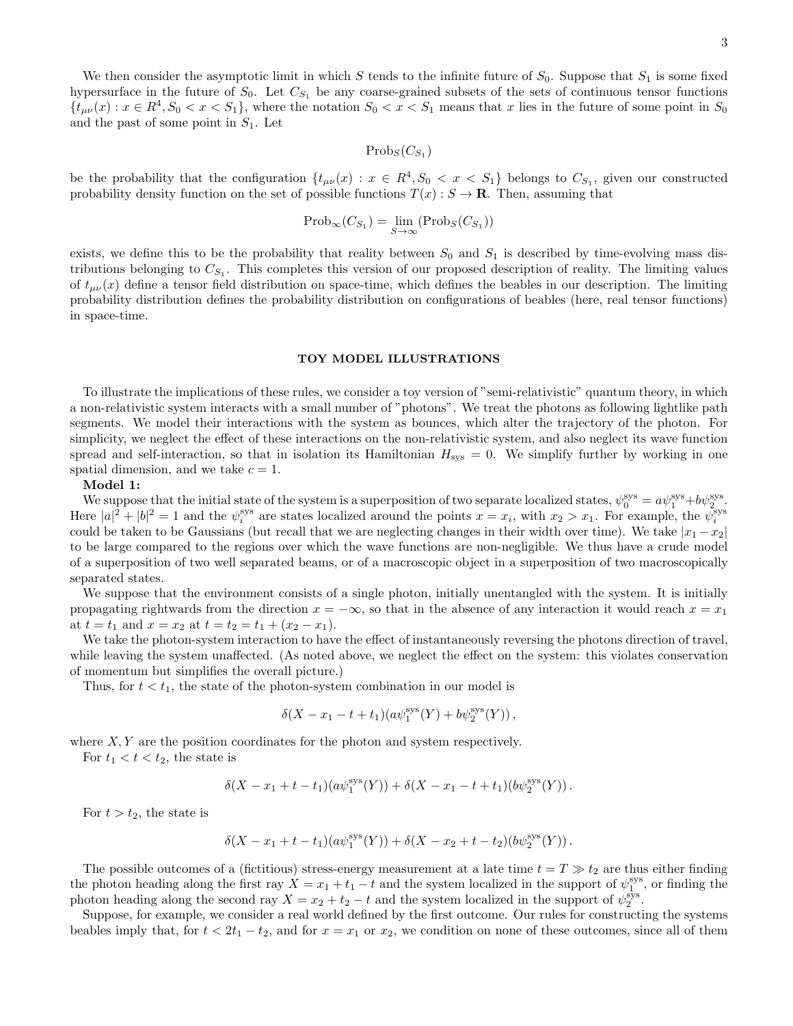3

We then consider the asymptotic limit in which S tends to the infinite future of  $S_0$ . Suppose that  $S_1$  is some fixed hypersurface in the future of  $S_0$ . Let  $C_{S_1}$  be any coarse-grained subsets of the sets of continuous tensor functions  $\{t_{\mu\nu}(x): x \in \mathbb{R}^4, S_0 < x < S_1\}$ , where the notation  $S_0 < x < S_1$  means that x lies in the future of some point in  $S_0$ and the past of some point in  $S_1$ . Let

$$
\mathrm{Prob}_S(C_{S_1})
$$

be the probability that the configuration  $\{t_{\mu\nu}(x): x \in \mathbb{R}^4, S_0 < x < S_1\}$  belongs to  $C_{S_1}$ , given our constructed probability density function on the set of possible functions  $T(x) : S \to \mathbf{R}$ . Then, assuming that

$$
Prob_{\infty}(C_{S_1}) = \lim_{S \to \infty} (Prob_S(C_{S_1}))
$$

exists, we define this to be the probability that reality between  $S_0$  and  $S_1$  is described by time-evolving mass distributions belonging to  $C_{S_1}$ . This completes this version of our proposed description of reality. The limiting values of  $t_{\mu\nu}(x)$  define a tensor field distribution on space-time, which defines the beables in our description. The limiting probability distribution defines the probability distribution on configurations of beables (here, real tensor functions) in space-time.

#### TOY MODEL ILLUSTRATIONS

To illustrate the implications of these rules, we consider a toy version of "semi-relativistic" quantum theory, in which a non-relativistic system interacts with a small number of "photons". We treat the photons as following lightlike path segments. We model their interactions with the system as bounces, which alter the trajectory of the photon. For simplicity, we neglect the effect of these interactions on the non-relativistic system, and also neglect its wave function spread and self-interaction, so that in isolation its Hamiltonian  $H_{\rm sys} = 0$ . We simplify further by working in one spatial dimension, and we take  $c = 1$ .

Model 1:

We suppose that the initial state of the system is a superposition of two separate localized states,  $\psi_0^{\rm sys} = a\psi_1^{\rm sys} + b\psi_2^{\rm sys}$ . Here  $|a|^2 + |b|^2 = 1$  and the  $\psi_i^{\text{sys}}$  are states localized around the points  $x = x_i$ , with  $x_2 > x_1$ . For example, the  $\psi_i^{\text{sys}}$ could be taken to be Gaussians (but recall that we are neglecting changes in their width over time). We take  $|x_1 - x_2|$ to be large compared to the regions over which the wave functions are non-negligible. We thus have a crude model of a superposition of two well separated beams, or of a macroscopic object in a superposition of two macroscopically separated states.

We suppose that the environment consists of a single photon, initially unentangled with the system. It is initially propagating rightwards from the direction  $x = -\infty$ , so that in the absence of any interaction it would reach  $x = x_1$ at  $t = t_1$  and  $x = x_2$  at  $t = t_2 = t_1 + (x_2 - x_1)$ .

We take the photon-system interaction to have the effect of instantaneously reversing the photons direction of travel, while leaving the system unaffected. (As noted above, we neglect the effect on the system: this violates conservation of momentum but simplifies the overall picture.)

Thus, for  $t < t_1$ , the state of the photon-system combination in our model is

$$
\delta(X - x_1 - t + t_1)(a\psi_1^{\rm sys}(Y) + b\psi_2^{\rm sys}(Y)),
$$

where  $X, Y$  are the position coordinates for the photon and system respectively.

For  $t_1 < t < t_2$ , the state is

$$
\delta(X-x_1+t-t_1)(a\psi_1^{\rm sys}(Y)) + \delta(X-x_1-t+t_1)(b\psi_2^{\rm sys}(Y)).
$$

For  $t > t_2$ , the state is

$$
\delta(X-x_1+t-t_1)(a\psi_1^{\rm sys}(Y)) + \delta(X-x_2+t-t_2)(b\psi_2^{\rm sys}(Y)).
$$

The possible outcomes of a (fictitious) stress-energy measurement at a late time  $t = T \gg t_2$  are thus either finding the photon heading along the first ray  $X = x_1 + t_1 - t$  and the system localized in the support of  $\psi_1^{\text{sys}}$ , or finding the photon heading along the second ray  $X = x_2 + t_2 - t$  and the system localized in the support of  $\psi_2^{\text{sys}}$ .

Suppose, for example, we consider a real world defined by the first outcome. Our rules for constructing the systems beables imply that, for  $t < 2t_1 - t_2$ , and for  $x = x_1$  or  $x_2$ , we condition on none of these outcomes, since all of them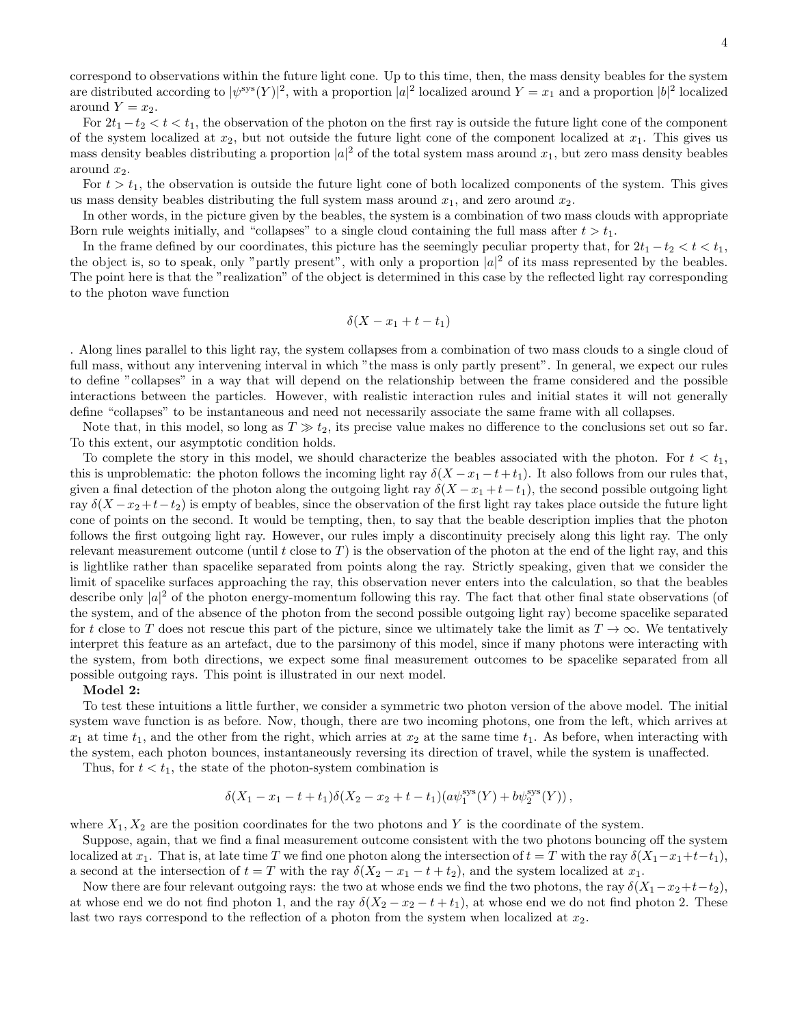correspond to observations within the future light cone. Up to this time, then, the mass density beables for the system are distributed according to  $|\psi^{sys}(Y)|^2$ , with a proportion  $|a|^2$  localized around  $Y = x_1$  and a proportion  $|b|^2$  localized around  $Y = x_2$ .

For  $2t_1-t_2 < t < t_1$ , the observation of the photon on the first ray is outside the future light cone of the component of the system localized at  $x_2$ , but not outside the future light cone of the component localized at  $x_1$ . This gives us mass density beables distributing a proportion  $|a|^2$  of the total system mass around  $x_1$ , but zero mass density beables around  $x_2$ .

For  $t > t_1$ , the observation is outside the future light cone of both localized components of the system. This gives us mass density beables distributing the full system mass around  $x_1$ , and zero around  $x_2$ .

In other words, in the picture given by the beables, the system is a combination of two mass clouds with appropriate Born rule weights initially, and "collapses" to a single cloud containing the full mass after  $t > t<sub>1</sub>$ .

In the frame defined by our coordinates, this picture has the seemingly peculiar property that, for  $2t_1 - t_2 < t < t_1$ , the object is, so to speak, only "partly present", with only a proportion  $|a|^2$  of its mass represented by the beables. The point here is that the "realization" of the object is determined in this case by the reflected light ray corresponding to the photon wave function

$$
\delta(X-x_1+t-t_1)
$$

. Along lines parallel to this light ray, the system collapses from a combination of two mass clouds to a single cloud of full mass, without any intervening interval in which "the mass is only partly present". In general, we expect our rules to define "collapses" in a way that will depend on the relationship between the frame considered and the possible interactions between the particles. However, with realistic interaction rules and initial states it will not generally define "collapses" to be instantaneous and need not necessarily associate the same frame with all collapses.

Note that, in this model, so long as  $T \gg t_2$ , its precise value makes no difference to the conclusions set out so far. To this extent, our asymptotic condition holds.

To complete the story in this model, we should characterize the beables associated with the photon. For  $t < t_1$ , this is unproblematic: the photon follows the incoming light ray  $\delta(X - x_1 - t + t_1)$ . It also follows from our rules that, given a final detection of the photon along the outgoing light ray  $\delta(X - x_1 + t - t_1)$ , the second possible outgoing light ray  $\delta(X - x_2 + t - t_2)$  is empty of beables, since the observation of the first light ray takes place outside the future light cone of points on the second. It would be tempting, then, to say that the beable description implies that the photon follows the first outgoing light ray. However, our rules imply a discontinuity precisely along this light ray. The only relevant measurement outcome (until t close to T) is the observation of the photon at the end of the light ray, and this is lightlike rather than spacelike separated from points along the ray. Strictly speaking, given that we consider the limit of spacelike surfaces approaching the ray, this observation never enters into the calculation, so that the beables describe only  $|a|^2$  of the photon energy-momentum following this ray. The fact that other final state observations (of the system, and of the absence of the photon from the second possible outgoing light ray) become spacelike separated for t close to T does not rescue this part of the picture, since we ultimately take the limit as  $T \to \infty$ . We tentatively interpret this feature as an artefact, due to the parsimony of this model, since if many photons were interacting with the system, from both directions, we expect some final measurement outcomes to be spacelike separated from all possible outgoing rays. This point is illustrated in our next model.

### Model 2:

To test these intuitions a little further, we consider a symmetric two photon version of the above model. The initial system wave function is as before. Now, though, there are two incoming photons, one from the left, which arrives at  $x_1$  at time  $t_1$ , and the other from the right, which arries at  $x_2$  at the same time  $t_1$ . As before, when interacting with the system, each photon bounces, instantaneously reversing its direction of travel, while the system is unaffected.

Thus, for  $t < t_1$ , the state of the photon-system combination is

$$
\delta\big(X_1-x_1-t+t_1\big)\delta\big(X_2-x_2+t-t_1\big)\big(a\psi_1^{\rm sys}(Y)+b\psi_2^{\rm sys}(Y)\big)\,,
$$

where  $X_1, X_2$  are the position coordinates for the two photons and Y is the coordinate of the system.

Suppose, again, that we find a final measurement outcome consistent with the two photons bouncing off the system localized at  $x_1$ . That is, at late time T we find one photon along the intersection of  $t = T$  with the ray  $\delta(X_1-x_1+t-t_1)$ , a second at the intersection of  $t = T$  with the ray  $\delta(X_2 - x_1 - t + t_2)$ , and the system localized at  $x_1$ .

Now there are four relevant outgoing rays: the two at whose ends we find the two photons, the ray  $\delta(X_1-x_2+t-t_2)$ , at whose end we do not find photon 1, and the ray  $\delta(X_2 - x_2 - t + t_1)$ , at whose end we do not find photon 2. These last two rays correspond to the reflection of a photon from the system when localized at  $x_2$ .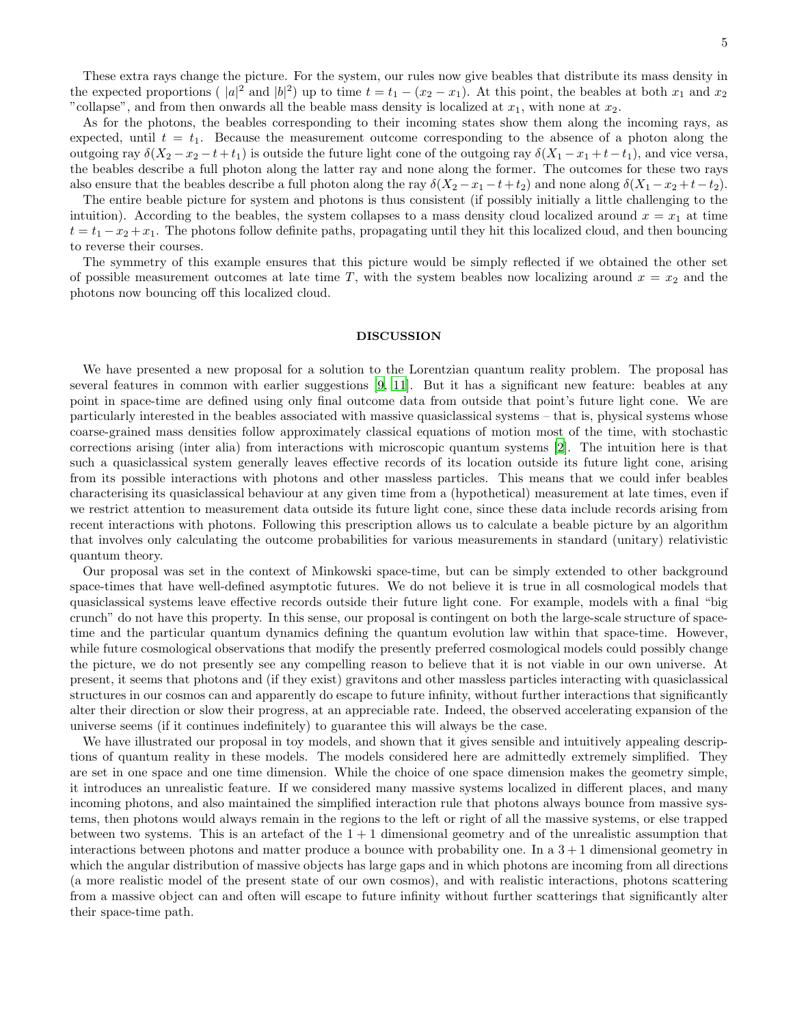These extra rays change the picture. For the system, our rules now give beables that distribute its mass density in the expected proportions (  $|a|^2$  and  $|b|^2$ ) up to time  $t = t_1 - (x_2 - x_1)$ . At this point, the beables at both  $x_1$  and  $x_2$ "collapse", and from then onwards all the beable mass density is localized at  $x_1$ , with none at  $x_2$ .

As for the photons, the beables corresponding to their incoming states show them along the incoming rays, as expected, until  $t = t_1$ . Because the measurement outcome corresponding to the absence of a photon along the outgoing ray  $\delta(X_2 - x_2 - t + t_1)$  is outside the future light cone of the outgoing ray  $\delta(X_1 - x_1 + t - t_1)$ , and vice versa, the beables describe a full photon along the latter ray and none along the former. The outcomes for these two rays also ensure that the beables describe a full photon along the ray  $\delta(X_2 - x_1 - t + t_2)$  and none along  $\delta(X_1 - x_2 + t - t_2)$ .

The entire beable picture for system and photons is thus consistent (if possibly initially a little challenging to the intuition). According to the beables, the system collapses to a mass density cloud localized around  $x = x_1$  at time  $t = t_1 - x_2 + x_1$ . The photons follow definite paths, propagating until they hit this localized cloud, and then bouncing to reverse their courses.

The symmetry of this example ensures that this picture would be simply reflected if we obtained the other set of possible measurement outcomes at late time T, with the system beables now localizing around  $x = x_2$  and the photons now bouncing off this localized cloud.

### DISCUSSION

We have presented a new proposal for a solution to the Lorentzian quantum reality problem. The proposal has several features in common with earlier suggestions [\[9,](#page-6-1) [11\]](#page-6-2). But it has a significant new feature: beables at any point in space-time are defined using only final outcome data from outside that point's future light cone. We are particularly interested in the beables associated with massive quasiclassical systems – that is, physical systems whose coarse-grained mass densities follow approximately classical equations of motion most of the time, with stochastic corrections arising (inter alia) from interactions with microscopic quantum systems [\[2\]](#page-6-4). The intuition here is that such a quasiclassical system generally leaves effective records of its location outside its future light cone, arising from its possible interactions with photons and other massless particles. This means that we could infer beables characterising its quasiclassical behaviour at any given time from a (hypothetical) measurement at late times, even if we restrict attention to measurement data outside its future light cone, since these data include records arising from recent interactions with photons. Following this prescription allows us to calculate a beable picture by an algorithm that involves only calculating the outcome probabilities for various measurements in standard (unitary) relativistic quantum theory.

Our proposal was set in the context of Minkowski space-time, but can be simply extended to other background space-times that have well-defined asymptotic futures. We do not believe it is true in all cosmological models that quasiclassical systems leave effective records outside their future light cone. For example, models with a final "big crunch" do not have this property. In this sense, our proposal is contingent on both the large-scale structure of spacetime and the particular quantum dynamics defining the quantum evolution law within that space-time. However, while future cosmological observations that modify the presently preferred cosmological models could possibly change the picture, we do not presently see any compelling reason to believe that it is not viable in our own universe. At present, it seems that photons and (if they exist) gravitons and other massless particles interacting with quasiclassical structures in our cosmos can and apparently do escape to future infinity, without further interactions that significantly alter their direction or slow their progress, at an appreciable rate. Indeed, the observed accelerating expansion of the universe seems (if it continues indefinitely) to guarantee this will always be the case.

We have illustrated our proposal in toy models, and shown that it gives sensible and intuitively appealing descriptions of quantum reality in these models. The models considered here are admittedly extremely simplified. They are set in one space and one time dimension. While the choice of one space dimension makes the geometry simple, it introduces an unrealistic feature. If we considered many massive systems localized in different places, and many incoming photons, and also maintained the simplified interaction rule that photons always bounce from massive systems, then photons would always remain in the regions to the left or right of all the massive systems, or else trapped between two systems. This is an artefact of the  $1 + 1$  dimensional geometry and of the unrealistic assumption that interactions between photons and matter produce a bounce with probability one. In a  $3+1$  dimensional geometry in which the angular distribution of massive objects has large gaps and in which photons are incoming from all directions (a more realistic model of the present state of our own cosmos), and with realistic interactions, photons scattering from a massive object can and often will escape to future infinity without further scatterings that significantly alter their space-time path.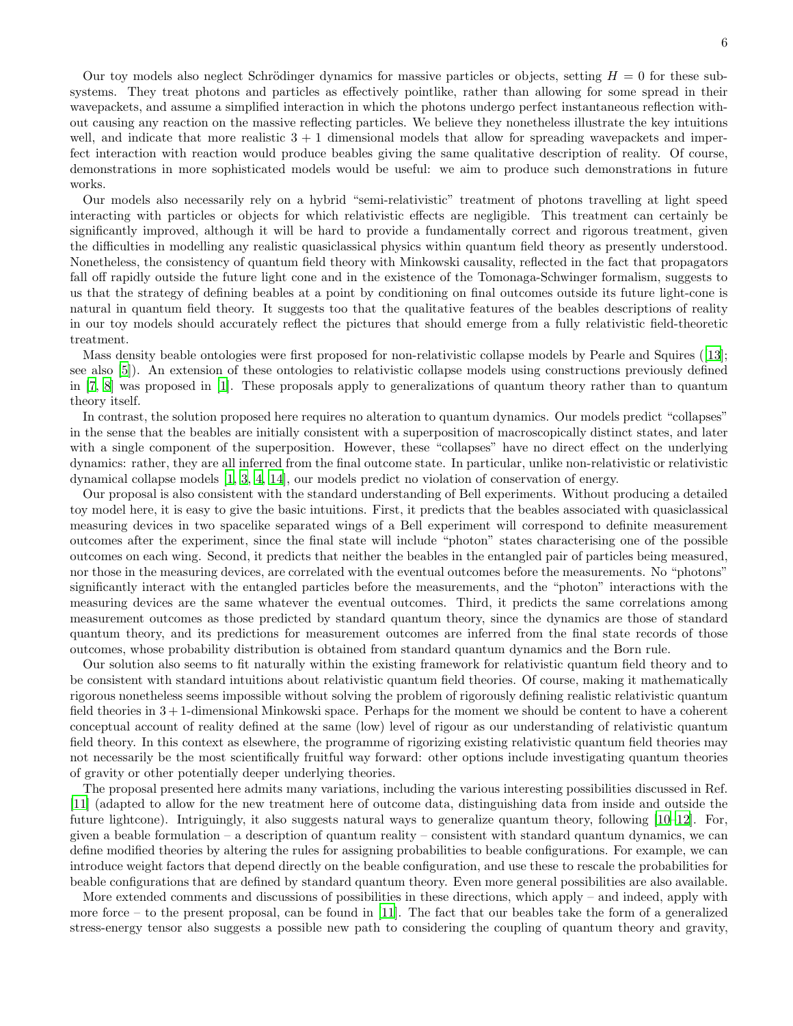Our toy models also neglect Schrödinger dynamics for massive particles or objects, setting  $H = 0$  for these subsystems. They treat photons and particles as effectively pointlike, rather than allowing for some spread in their wavepackets, and assume a simplified interaction in which the photons undergo perfect instantaneous reflection without causing any reaction on the massive reflecting particles. We believe they nonetheless illustrate the key intuitions well, and indicate that more realistic  $3 + 1$  dimensional models that allow for spreading wavepackets and imperfect interaction with reaction would produce beables giving the same qualitative description of reality. Of course, demonstrations in more sophisticated models would be useful: we aim to produce such demonstrations in future works.

Our models also necessarily rely on a hybrid "semi-relativistic" treatment of photons travelling at light speed interacting with particles or objects for which relativistic effects are negligible. This treatment can certainly be significantly improved, although it will be hard to provide a fundamentally correct and rigorous treatment, given the difficulties in modelling any realistic quasiclassical physics within quantum field theory as presently understood. Nonetheless, the consistency of quantum field theory with Minkowski causality, reflected in the fact that propagators fall off rapidly outside the future light cone and in the existence of the Tomonaga-Schwinger formalism, suggests to us that the strategy of defining beables at a point by conditioning on final outcomes outside its future light-cone is natural in quantum field theory. It suggests too that the qualitative features of the beables descriptions of reality in our toy models should accurately reflect the pictures that should emerge from a fully relativistic field-theoretic treatment.

Mass density beable ontologies were first proposed for non-relativistic collapse models by Pearle and Squires ([\[13\]](#page-6-5); see also [\[5\]](#page-6-6)). An extension of these ontologies to relativistic collapse models using constructions previously defined in [\[7,](#page-6-7) [8\]](#page-6-8) was proposed in [\[1\]](#page-6-9). These proposals apply to generalizations of quantum theory rather than to quantum theory itself.

In contrast, the solution proposed here requires no alteration to quantum dynamics. Our models predict "collapses" in the sense that the beables are initially consistent with a superposition of macroscopically distinct states, and later with a single component of the superposition. However, these "collapses" have no direct effect on the underlying dynamics: rather, they are all inferred from the final outcome state. In particular, unlike non-relativistic or relativistic dynamical collapse models [\[1](#page-6-9), [3](#page-6-10), [4,](#page-6-11) [14\]](#page-6-12), our models predict no violation of conservation of energy.

Our proposal is also consistent with the standard understanding of Bell experiments. Without producing a detailed toy model here, it is easy to give the basic intuitions. First, it predicts that the beables associated with quasiclassical measuring devices in two spacelike separated wings of a Bell experiment will correspond to definite measurement outcomes after the experiment, since the final state will include "photon" states characterising one of the possible outcomes on each wing. Second, it predicts that neither the beables in the entangled pair of particles being measured, nor those in the measuring devices, are correlated with the eventual outcomes before the measurements. No "photons" significantly interact with the entangled particles before the measurements, and the "photon" interactions with the measuring devices are the same whatever the eventual outcomes. Third, it predicts the same correlations among measurement outcomes as those predicted by standard quantum theory, since the dynamics are those of standard quantum theory, and its predictions for measurement outcomes are inferred from the final state records of those outcomes, whose probability distribution is obtained from standard quantum dynamics and the Born rule.

Our solution also seems to fit naturally within the existing framework for relativistic quantum field theory and to be consistent with standard intuitions about relativistic quantum field theories. Of course, making it mathematically rigorous nonetheless seems impossible without solving the problem of rigorously defining realistic relativistic quantum field theories in 3 + 1-dimensional Minkowski space. Perhaps for the moment we should be content to have a coherent conceptual account of reality defined at the same (low) level of rigour as our understanding of relativistic quantum field theory. In this context as elsewhere, the programme of rigorizing existing relativistic quantum field theories may not necessarily be the most scientifically fruitful way forward: other options include investigating quantum theories of gravity or other potentially deeper underlying theories.

The proposal presented here admits many variations, including the various interesting possibilities discussed in Ref. [\[11\]](#page-6-2) (adapted to allow for the new treatment here of outcome data, distinguishing data from inside and outside the future lightcone). Intriguingly, it also suggests natural ways to generalize quantum theory, following [\[10](#page-6-13)[–12\]](#page-6-14). For, given a beable formulation – a description of quantum reality – consistent with standard quantum dynamics, we can define modified theories by altering the rules for assigning probabilities to beable configurations. For example, we can introduce weight factors that depend directly on the beable configuration, and use these to rescale the probabilities for beable configurations that are defined by standard quantum theory. Even more general possibilities are also available.

More extended comments and discussions of possibilities in these directions, which apply – and indeed, apply with more force – to the present proposal, can be found in [\[11\]](#page-6-2). The fact that our beables take the form of a generalized stress-energy tensor also suggests a possible new path to considering the coupling of quantum theory and gravity,